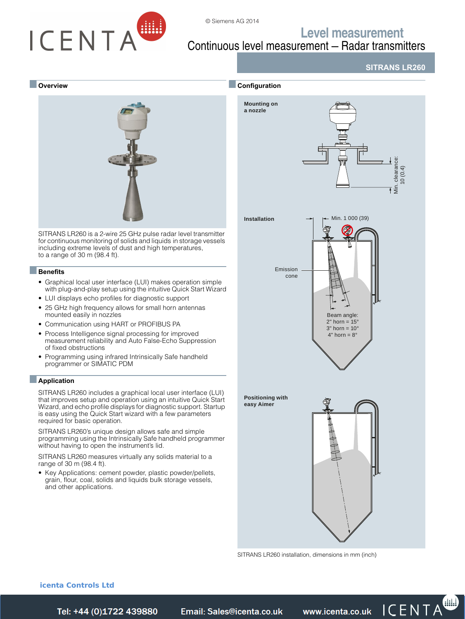

# **Level measurement** Continuous level measurement — Radar transmitters

© Siemens AG 2014

**SITRANS LR260**

#### ■ **Overview**



SITRANS LR260 is a 2-wire 25 GHz pulse radar level transmitter for continuous monitoring of solids and liquids in storage vessels including extreme levels of dust and high temperatures, to a range of 30 m (98.4 ft).

#### ■**Benefits**

- Graphical local user interface (LUI) makes operation simple with plug-and-play setup using the intuitive Quick Start Wizard
- LUI displays echo profiles for diagnostic support
- 25 GHz high frequency allows for small horn antennas mounted easily in nozzles
- Communication using HART or PROFIBUS PA
- Process Intelligence signal processing for improved measurement reliability and Auto False-Echo Suppression of fixed obstructions
- Programming using infrared Intrinsically Safe handheld programmer or SIMATIC PDM

#### ■**Application**

SITRANS LR260 includes a graphical local user interface (LUI) that improves setup and operation using an intuitive Quick Start Wizard, and echo profile displays for diagnostic support. Startup is easy using the Quick Start wizard with a few parameters required for basic operation.

SITRANS LR260's unique design allows safe and simple programming using the Intrinsically Safe handheld programmer without having to open the instrument's lid.

SITRANS LR260 measures virtually any solids material to a range of 30 m (98.4 ft).

• Key Applications: cement powder, plastic powder/pellets, grain, flour, coal, solids and liquids bulk storage vessels, and other applications.



[SITRANS LR260 installation, dimensions in mm \(inch\)](https://www.icenta.co.uk/contact.html)

#### **icenta Controls Ltd**

*Tel: +44 (0)1722 41 Fax: +44 (0)1722 e: sales@icenta.co.uk www.icenta.co.uk* 

Siemens FI 01 · 2014 **4/253**

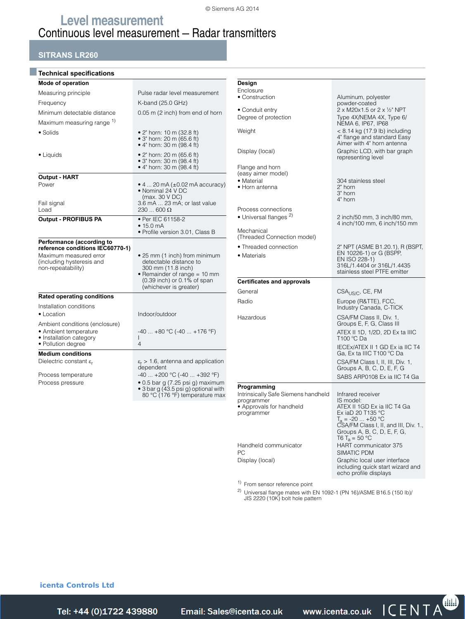# **Level measurement** Continuous level measurement — Radar transmitters

## **SITRANS LR260**

| Mode of operation<br>Measuring principle                                                                      | Pulse radar level measurement                                                                                                                                                 |
|---------------------------------------------------------------------------------------------------------------|-------------------------------------------------------------------------------------------------------------------------------------------------------------------------------|
| Frequency                                                                                                     | K-band (25.0 GHz)                                                                                                                                                             |
| Minimum detectable distance                                                                                   | 0.05 m (2 inch) from end of horn                                                                                                                                              |
| Maximum measuring range 1)                                                                                    |                                                                                                                                                                               |
| • Solids                                                                                                      |                                                                                                                                                                               |
|                                                                                                               | • 2" horn: 10 m (32.8 ft)<br>• 3" horn: 20 m $(65.6 \text{ ft})$<br>• 4" horn: 30 m (98.4 ft)                                                                                 |
| • Liquids                                                                                                     | • 2" horn: 20 m (65.6 ft)<br>• 3" horn: 30 m (98.4 ft)<br>• 4" horn: 30 m $(98.4 \text{ ft})$                                                                                 |
| <b>Output - HART</b>                                                                                          |                                                                                                                                                                               |
| Power<br>Fail signal<br>Load                                                                                  | $\bullet$ 4  20 mA ( $\pm$ 0.02 mA accuracy)<br>• Nominal 24 V DC<br>(max. 30 V DC)<br>3.6 mA  23 mA; or last value<br>$230600\,\Omega$                                       |
|                                                                                                               | • Per IEC 61158-2                                                                                                                                                             |
| <b>Output - PROFIBUS PA</b>                                                                                   | • 15.0 mA<br>• Profile version 3.01, Class B                                                                                                                                  |
| Performance (according to                                                                                     |                                                                                                                                                                               |
| reference conditions IEC60770-1)<br>Maximum measured error<br>(including hysteresis and<br>non-repeatability) | • 25 mm (1 inch) from minimum<br>detectable distance to<br>300 mm (11.8 inch)<br>• Remainder of range $= 10$ mm<br>$(0.39$ inch) or $0.1\%$ of span<br>(whichever is greater) |
| <b>Rated operating conditions</b>                                                                             |                                                                                                                                                                               |
| Installation conditions                                                                                       |                                                                                                                                                                               |
| • Location                                                                                                    | Indoor/outdoor                                                                                                                                                                |
| Ambient conditions (enclosure)<br>• Ambient temperature<br>• Installation category<br>• Pollution degree      | $-40+80$ °C ( $-40+176$ °F)<br>I<br>$\overline{4}$                                                                                                                            |
| <b>Medium conditions</b>                                                                                      |                                                                                                                                                                               |
| Dielectric constant $\varepsilon_r$                                                                           | $\varepsilon_r$ > 1.6, antenna and application<br>dependent                                                                                                                   |
| Process temperature                                                                                           | $-40$ $+200$ °C ( $-40$ $+392$ °F)                                                                                                                                            |
| Process pressure                                                                                              | • 0.5 bar g (7.25 psi g) maximum<br>• 3 bar g (43.5 psi g) optional with<br>80 °C (176 °F) temperature max                                                                    |

| Design                                    |                                                                                            |
|-------------------------------------------|--------------------------------------------------------------------------------------------|
| Enclosure<br>• Construction               | Aluminum, polyester                                                                        |
|                                           | powder-coated                                                                              |
| • Conduit entry                           | 2 x M20x1.5 or 2 x 1/2" NPT                                                                |
| Degree of protection                      | Type 4X/NEMA 4X, Type 6/<br>NEMA 6, IP67, IP68                                             |
| Weight                                    | < 8.14 kg (17.9 lb) including<br>4" flange and standard Easy<br>Aimer with 4" horn antenna |
| Display (local)                           | Graphic LCD, with bar graph<br>representing level                                          |
| Flange and horn                           |                                                                                            |
| (easy aimer model)                        |                                                                                            |
| • Material<br>• Horn antenna              | 304 stainless steel<br>2" horn<br>3" horn<br>4" horn                                       |
| Process connections                       |                                                                                            |
| • Universal flanges <sup>2)</sup>         | 2 inch/50 mm, 3 inch/80 mm,<br>4 inch/100 mm, 6 inch/150 mm                                |
| Mechanical<br>(Threaded Connection model) |                                                                                            |
| • Threaded connection                     | 2" NPT (ASME B1.20.1), R (BSPT,                                                            |
| • Materials                               | EN 10226-1) or G (BSPP,                                                                    |
|                                           | EN ISO 228-1)<br>316L/1.4404 or 316L/1.4435                                                |
|                                           |                                                                                            |
|                                           | stainless steel PTFE emitter                                                               |
| <b>Certificates and approvals</b>         |                                                                                            |
| General                                   | CSA <sub>US/C</sub> , CE, FM                                                               |
| Radio                                     | Europe (R&TTE), FCC.<br>Industry Canada, C-TICK                                            |
| Hazardous                                 | CSA/FM Class II, Div. 1,                                                                   |
|                                           | Groups E, F, G, Class III<br>ATEX II 1D, 1/2D, 2D Ex ta IIIC                               |
|                                           | T100 °C Da                                                                                 |
|                                           | IECEx/ATEX II 1 GD Ex ia IIC T4                                                            |
|                                           | Ga, Ex ta IIIC T100 °C Da                                                                  |
|                                           | CSA/FM Class I, II, III, Div. 1,<br>Groups A, B, C, D, E, F, G                             |
|                                           | SABS ARP0108 Ex ia IIC T4 Ga                                                               |
| Programming                               |                                                                                            |
| Intrinsically Safe Siemens handheld       | Infrared receiver                                                                          |
| programmer                                | IS model:                                                                                  |
| • Approvals for handheld<br>programmer    | ATEX II 1GD Ex ia IIC T4 Ga<br>Ex iaD 20 T135 °C                                           |
|                                           | $T_a = -20  +50 °C$                                                                        |
|                                           | CSA/FM Class I, II, and III, Div. 1.,<br>Groups A, B, C, D, E, F, G,                       |
|                                           | T6 T <sub>a</sub> = 50 °C                                                                  |
| Handheld communicator<br>PC               | HART communicator 375<br>SIMATIC PDM                                                       |
| Display (local)                           | Graphic local user interface                                                               |

1) From sensor reference point

<sup>2)</sup> Universal flange mates with EN 1092-1 (PN 16)/ASME B16.5 (150 lb)/<br>JIS 2220 (10K) bolt hole pattern

#### **icenta Controls Ltd**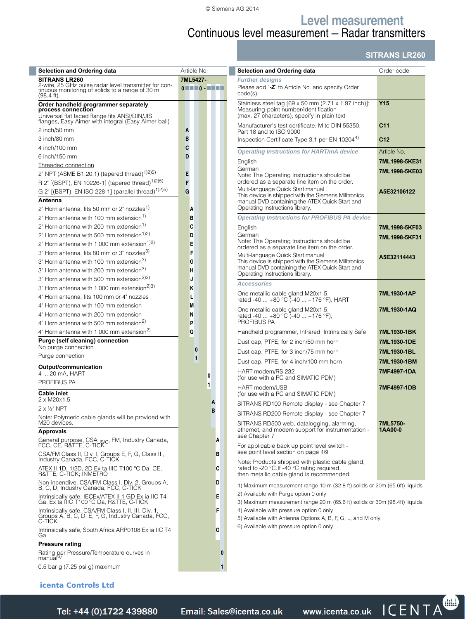**Level measurement**

# Continuous level measurement — Radar transmitters

## **SITRANS LR260**

| <b>Selection and Ordering data</b>                                                                                                                                 | Article No.                                                                                                                                                                                                                                                                                                                                                               | Selection and Ordering data                                                                                                                  | Order code          |
|--------------------------------------------------------------------------------------------------------------------------------------------------------------------|---------------------------------------------------------------------------------------------------------------------------------------------------------------------------------------------------------------------------------------------------------------------------------------------------------------------------------------------------------------------------|----------------------------------------------------------------------------------------------------------------------------------------------|---------------------|
| <b>SITRANS LR260</b><br>2-wire, 25 GHz pulse radar level transmitter for continuous monitoring of solids to a range of 30 m<br>$(98.4 \text{ ft})$ .               | 7ML5427-<br>$\begin{array}{c} \color{red}{0} \color{black} \end{array} \begin{array}{c} \color{red}{0} \color{black} \end{array} \begin{array}{c} \color{red}{0} \color{black} \end{array} \begin{array}{c} \color{red}{0} \color{black} \end{array} \begin{array}{c} \color{red}{0} \color{black} \end{array} \begin{array}{c} \color{red}{0} \color{black} \end{array}$ | <b>Further designs</b><br>Please add "-Z" to Article No. and specify Order<br>$code(s)$ .                                                    |                     |
| Order handheld programmer separately<br>process connection<br>Universal flat faced flange fits ANSI/DIN/JIS<br>flanges, Easy Aimer with integral (Easy Aimer ball) |                                                                                                                                                                                                                                                                                                                                                                           | Stainless steel tag [69 x 50 mm (2.71 x 1.97 inch)]:<br>Measuring-point number/identification<br>(max. 27 characters); specify in plain text | <b>Y15</b>          |
| 2 inch/50 mm                                                                                                                                                       | A                                                                                                                                                                                                                                                                                                                                                                         | Manufacturer's test certificate: M to DIN 55350,                                                                                             | C <sub>11</sub>     |
| 3 inch/80 mm                                                                                                                                                       | B                                                                                                                                                                                                                                                                                                                                                                         | Part 18 and to ISO 9000<br>Inspection Certificate Type 3.1 per EN 102044)                                                                    | C <sub>12</sub>     |
| 4 inch/100 mm                                                                                                                                                      | C                                                                                                                                                                                                                                                                                                                                                                         | <b>Operating Instructions for HART/mA device</b>                                                                                             | Article No.         |
| 6 inch/150 mm                                                                                                                                                      | D                                                                                                                                                                                                                                                                                                                                                                         |                                                                                                                                              | 7ML1998-5KE31       |
| Threaded connection                                                                                                                                                |                                                                                                                                                                                                                                                                                                                                                                           | English<br>German                                                                                                                            | 7ML1998-5KE03       |
| 2" NPT (ASME B1.20.1) (tapered thread) <sup>1)2)5)</sup>                                                                                                           | Е                                                                                                                                                                                                                                                                                                                                                                         | Note: The Operating Instructions should be<br>ordered as a separate line item on the order.                                                  |                     |
| R 2" [(BSPT), EN 10226-1] (tapered thread) <sup>1)2)5)</sup><br>G 2" [(BSPT), EN ISO 228-1] (parallel thread) <sup>1)2)5)</sup>                                    | F<br>G                                                                                                                                                                                                                                                                                                                                                                    | Multi-language Quick Start manual                                                                                                            | A5E32106122         |
| Antenna                                                                                                                                                            |                                                                                                                                                                                                                                                                                                                                                                           | This device is shipped with the Siemens Milltronics<br>manual DVD containing the ATEX Quick Start and                                        |                     |
| 2" Horn antenna, fits 50 mm or 2" nozzles <sup>1)</sup>                                                                                                            | A                                                                                                                                                                                                                                                                                                                                                                         | Operating Instructions library.                                                                                                              |                     |
| 2" Horn antenna with 100 mm extension <sup>1)</sup>                                                                                                                | в                                                                                                                                                                                                                                                                                                                                                                         | <b>Operating Instructions for PROFIBUS PA device</b>                                                                                         |                     |
| 2" Horn antenna with 200 mm extension <sup>1)</sup>                                                                                                                | C                                                                                                                                                                                                                                                                                                                                                                         | English                                                                                                                                      | 7ML1998-5KF03       |
| 2" Horn antenna with 500 mm extension <sup>1)2)</sup>                                                                                                              | D                                                                                                                                                                                                                                                                                                                                                                         | German<br>Note: The Operating Instructions should be                                                                                         | 7ML1998-5KF31       |
| 2" Horn antenna with 1 000 mm extension <sup>1)2)</sup><br>3" Horn antenna, fits 80 mm or 3" nozzles <sup>3)</sup>                                                 | E<br>F                                                                                                                                                                                                                                                                                                                                                                    | ordered as a separate line item on the order.                                                                                                |                     |
| 3" Horn antenna with 100 mm extension <sup>3)</sup>                                                                                                                | G                                                                                                                                                                                                                                                                                                                                                                         | Multi-language Quick Start manual<br>This device is shipped with the Siemens Milltronics                                                     | A5E32114443         |
| 3" Horn antenna with 200 mm extension <sup>3)</sup>                                                                                                                | н                                                                                                                                                                                                                                                                                                                                                                         | manual DVD containing the ATEX Quick Start and                                                                                               |                     |
| 3" Horn antenna with 500 mm extension <sup>2)3)</sup>                                                                                                              | J                                                                                                                                                                                                                                                                                                                                                                         | Operating Instructions library.                                                                                                              |                     |
| 3" Horn antenna with 1 000 mm extension <sup>2)3)</sup>                                                                                                            | Κ                                                                                                                                                                                                                                                                                                                                                                         | <b>Accessories</b>                                                                                                                           |                     |
| 4" Horn antenna, fits 100 mm or 4" nozzles                                                                                                                         | L                                                                                                                                                                                                                                                                                                                                                                         | One metallic cable gland M20x1.5,<br>rated -40  +80 °C (-40  +176 °F), HART                                                                  | 7ML1930-1AP         |
| 4" Horn antenna with 100 mm extension                                                                                                                              | M                                                                                                                                                                                                                                                                                                                                                                         | One metallic cable gland M20x1.5,                                                                                                            | 7ML1930-1AQ         |
| 4" Horn antenna with 200 mm extension<br>4" Horn antenna with 500 mm extension <sup>2)</sup>                                                                       | Ν<br>P                                                                                                                                                                                                                                                                                                                                                                    | rated -40  +80 °C (-40  +176 °F),<br>PROFIBUS PA                                                                                             |                     |
| 4" Horn antenna with 1 000 mm extension <sup>2)</sup>                                                                                                              | Q                                                                                                                                                                                                                                                                                                                                                                         | Handheld programmer, Infrared, Intrinsically Safe                                                                                            | 7ML1930-1BK         |
| Purge (self cleaning) connection                                                                                                                                   |                                                                                                                                                                                                                                                                                                                                                                           | Dust cap, PTFE, for 2 inch/50 mm horn                                                                                                        | 7ML1930-1DE         |
| No purge connection                                                                                                                                                | 0                                                                                                                                                                                                                                                                                                                                                                         | Dust cap, PTFE, for 3 inch/75 mm horn                                                                                                        | 7ML1930-1BL         |
| Purge connection                                                                                                                                                   | 1                                                                                                                                                                                                                                                                                                                                                                         | Dust cap, PTFE, for 4 inch/100 mm horn                                                                                                       | 7ML1930-1BM         |
| Output/communication<br>4  20 mA, HART<br>PROFIBUS PA                                                                                                              | 0                                                                                                                                                                                                                                                                                                                                                                         | HART modem/RS 232<br>(for use with a PC and SIMATIC PDM)                                                                                     | 7MF4997-1DA         |
| <b>Cable inlet</b>                                                                                                                                                 | 1                                                                                                                                                                                                                                                                                                                                                                         | HART modem/USB<br>(for use with a PC and SIMATIC PDM)                                                                                        | 7MF4997-1DB         |
| 2 x M20x1.5<br>$2 \times \frac{1}{2}$ " NPT                                                                                                                        | A                                                                                                                                                                                                                                                                                                                                                                         | SITRANS RD100 Remote display - see Chapter 7                                                                                                 |                     |
| Note: Polymeric cable glands will be provided with                                                                                                                 | R                                                                                                                                                                                                                                                                                                                                                                         | SITRANS RD200 Remote display - see Chapter 7                                                                                                 |                     |
| M <sub>20</sub> devices.<br><b>Approvals</b>                                                                                                                       |                                                                                                                                                                                                                                                                                                                                                                           | SITRANS RD500 web, datalogging, alarming,<br>ethernet, and modem support for instrumentation -<br>see Chapter 7                              | 7ML5750-<br>1AA00-0 |
| General purpose, CSA <sub>US/C</sub> , FM, Industry Canada,<br>FCC, CE, R&TTE, C-TICK                                                                              | А                                                                                                                                                                                                                                                                                                                                                                         | For applicable back up point level switch -                                                                                                  |                     |
| CSA/FM Class II, Div. I, Groups E, F, G, Class III, Industry Canada, FCC, C-TICK                                                                                   | в                                                                                                                                                                                                                                                                                                                                                                         | see point level section on page 4/9<br>Note: Products shipped with plastic cable gland,                                                      |                     |
| ATEX II 1D, 1/2D, 2D Ex ta IIIC T100 °C Da, CE,<br>R&TTE, C-TICK; INMETRO                                                                                          | C                                                                                                                                                                                                                                                                                                                                                                         | rated to -20 °C. If -40 °C rating required,<br>then metallic cable gland is recommended.                                                     |                     |
| Non-incendive, CSA/FM Class I, Div. 2, Groups A,<br>B, C, D, Industry Canada, FCC, C-TICK                                                                          | D                                                                                                                                                                                                                                                                                                                                                                         | 1) Maximum measurement range 10 m (32.8 ft) solids or 20m (65.6ft) liquids                                                                   |                     |
| Intrinsically safe, IECEx/ATEX II 1 GD Ex ia IIC T4<br>Ga, Ex ta IIIC T100 °C Da, R&TTE, C-TICK                                                                    | Ε                                                                                                                                                                                                                                                                                                                                                                         | 2) Available with Purge option 0 only<br>3) Maximum measurement range 20 m (65.6 ft) solids or 30m (98.4ft) liquids                          |                     |
| Intrinsically safe, CSA/FM Class I, II, III, Div. 1,<br>Groups A, B, C, D, E, F, G, Industry Canada, FCC,<br>C-TICK                                                | F                                                                                                                                                                                                                                                                                                                                                                         | 4) Available with pressure option 0 only<br>5) Available with Antenna Options A, B, F, G, L, and M only                                      |                     |
| Intrinsically safe, South Africa ARP0108 Ex ia IIC T4<br>Ga                                                                                                        | G                                                                                                                                                                                                                                                                                                                                                                         | 6) Available with pressure option 0 only                                                                                                     |                     |
| <b>Pressure rating</b><br>Rating per Pressure/Temperature curves in<br>manual <sup>o</sup>                                                                         | $\bf{0}$                                                                                                                                                                                                                                                                                                                                                                  |                                                                                                                                              |                     |
| 0.5 bar g (7.25 psi g) maximum                                                                                                                                     | 1                                                                                                                                                                                                                                                                                                                                                                         |                                                                                                                                              |                     |

## **icenta Controls Ltd**

Siemens FI 01 · 2014 **4/255** *Tel: +44 (0)1722 41 Fax: +44 (0)1722 e: sales@icenta.co.uk www.icenta.co.uk*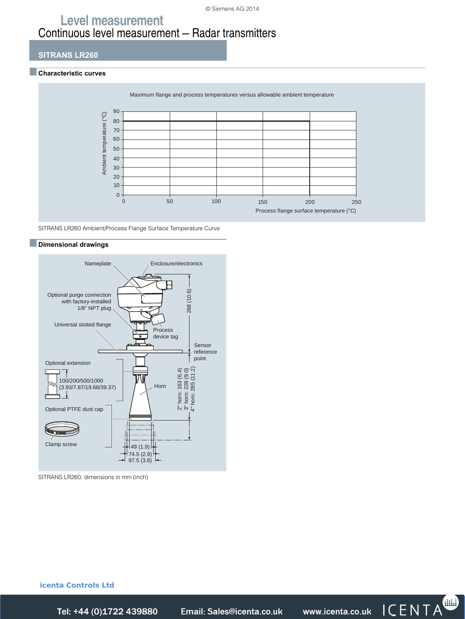#### © Siemens AG 2014

# **Level measurement** Continuous level measurement — Radar transmitters

#### **SITRANS LR260**

#### ■**Characteristic curves**



SITRANS LR260 Ambient/Process Flange Surface Temperature Curve

## ■**Dimensional drawings**



SITRANS LR260, dimensions in mm (inch)

**icenta Controls Ltd**